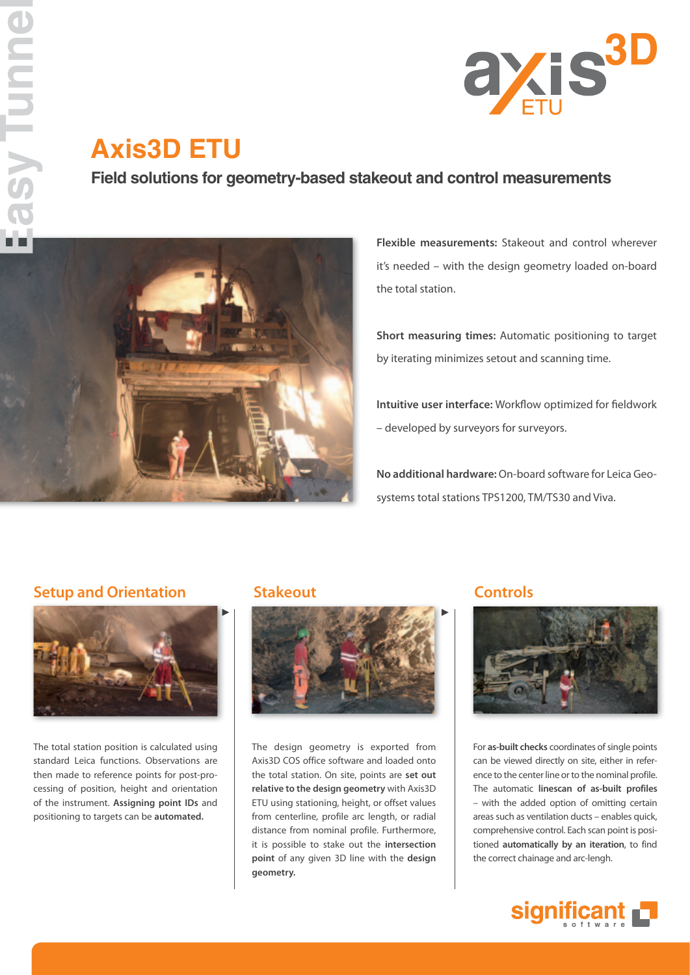

# **Axis3D ETU**

### **Field solutions for geometry-based stakeout and control measurements**



**Flexible measurements:** Stakeout and control wherever it's needed – with the design geometry loaded on-board the total station.

**Short measuring times:** Automatic positioning to target by iterating minimizes setout and scanning time.

**Intuitive user interface:** Workflow optimized for fieldwork – developed by surveyors for surveyors.

**No additional hardware:** On-board software for Leica Geosystems total stations TPS1200, TM/TS30 and Viva.

### **Setup and Orientation Stakeout Controls**



The total station position is calculated using standard Leica functions. Observations are then made to reference points for post-processing of position, height and orientation of the instrument. **Assigning point IDs** and positioning to targets can be **automated.**



The design geometry is exported from Axis3D COS office software and loaded onto the total station. On site, points are **set out relative to the design geometry** with Axis3D ETU using stationing, height, or offset values from centerline, profile arc length, or radial distance from nominal profile. Furthermore, it is possible to stake out the **intersection point** of any given 3D line with the **design geometry.**



For **as-built checks** coordinates of single points can be viewed directly on site, either in reference to the center line or to the nominal profile. The automatic **linescan of as-built profiles**  – with the added option of omitting certain areas such as ventilation ducts – enables quick, comprehensive control. Each scan point is positioned **automatically by an iteration**, to find the correct chainage and arc-lengh.